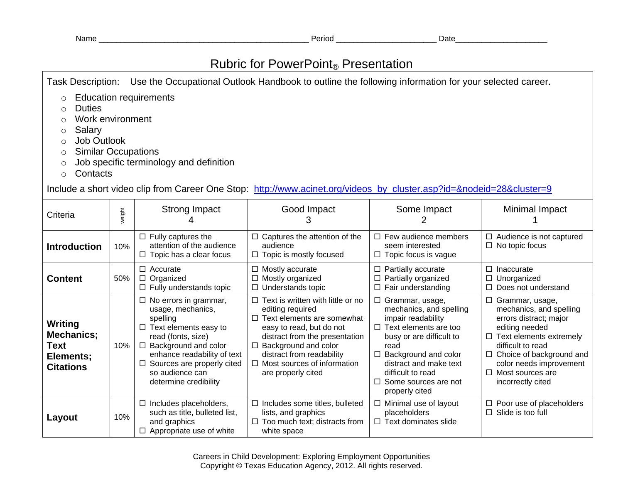## Rubric for PowerPoint® Presentation

Task Description: Use the Occupational Outlook Handbook to outline the following information for your selected career.

- o Education requirements
- o Duties
- o Work environment
- o Salary
- o Job Outlook
- o Similar Occupations
- o Job specific terminology and definition
- o Contacts

Include a short video clip from Career One Stop: [http://www.acinet.org/videos\\_by\\_cluster.asp?id=&nodeid=28&cluster=9](http://www.acinet.org/videos_by_cluster.asp?id=&nodeid=28&cluster=9)

| Criteria                                                       | weight | <b>Strong Impact</b>                                                                                                                                                                                                                                         | Good Impact<br>3                                                                                                                                                                                                                                                           | Some Impact                                                                                                                                                                                                                                                               | Minimal Impact                                                                                                                                                                                                                                                |
|----------------------------------------------------------------|--------|--------------------------------------------------------------------------------------------------------------------------------------------------------------------------------------------------------------------------------------------------------------|----------------------------------------------------------------------------------------------------------------------------------------------------------------------------------------------------------------------------------------------------------------------------|---------------------------------------------------------------------------------------------------------------------------------------------------------------------------------------------------------------------------------------------------------------------------|---------------------------------------------------------------------------------------------------------------------------------------------------------------------------------------------------------------------------------------------------------------|
| <b>Introduction</b>                                            | 10%    | $\Box$ Fully captures the<br>attention of the audience<br>$\Box$ Topic has a clear focus                                                                                                                                                                     | Captures the attention of the<br>□<br>audience<br>Topic is mostly focused<br>□                                                                                                                                                                                             | $\Box$ Few audience members<br>seem interested<br>Topic focus is vague<br>□                                                                                                                                                                                               | $\Box$ Audience is not captured<br>$\Box$ No topic focus                                                                                                                                                                                                      |
| <b>Content</b>                                                 | 50%    | $\Box$ Accurate<br>$\Box$ Organized<br>$\Box$ Fully understands topic                                                                                                                                                                                        | Mostly accurate<br>□<br>Mostly organized<br>□<br>Understands topic<br>□                                                                                                                                                                                                    | Partially accurate<br>□<br>Partially organized<br>□<br>Fair understanding<br>□                                                                                                                                                                                            | $\Box$ Inaccurate<br>$\Box$ Unorganized<br>$\Box$ Does not understand                                                                                                                                                                                         |
| Writing<br>Mechanics;<br>Text<br>Elements;<br><b>Citations</b> | 10%    | $\Box$ No errors in grammar,<br>usage, mechanics,<br>spelling<br>Text elements easy to<br>$\Box$<br>read (fonts, size)<br>Background and color<br>□<br>enhance readability of text<br>Sources are properly cited<br>so audience can<br>determine credibility | Text is written with little or no<br>□<br>editing required<br>Text elements are somewhat<br>□<br>easy to read, but do not<br>distract from the presentation<br>Background and color<br>□<br>distract from readability<br>Most sources of information<br>are properly cited | Grammar, usage,<br>$\Box$<br>mechanics, and spelling<br>impair readability<br>$\Box$ Text elements are too<br>busy or are difficult to<br>read<br>Background and color<br>□<br>distract and make text<br>difficult to read<br>Some sources are not<br>□<br>properly cited | □ Grammar, usage,<br>mechanics, and spelling<br>errors distract; major<br>editing needed<br>$\Box$ Text elements extremely<br>difficult to read<br>$\Box$ Choice of background and<br>color needs improvement<br>$\Box$ Most sources are<br>incorrectly cited |
| Layout                                                         | 10%    | Includes placeholders,<br>□<br>such as title, bulleted list,<br>and graphics<br>$\Box$ Appropriate use of white                                                                                                                                              | Includes some titles, bulleted<br>□<br>lists, and graphics<br>Too much text; distracts from<br>□<br>white space                                                                                                                                                            | Minimal use of layout<br>□<br>placeholders<br>$\Box$ Text dominates slide                                                                                                                                                                                                 | $\Box$ Poor use of placeholders<br>Slide is too full<br>$\Box$                                                                                                                                                                                                |